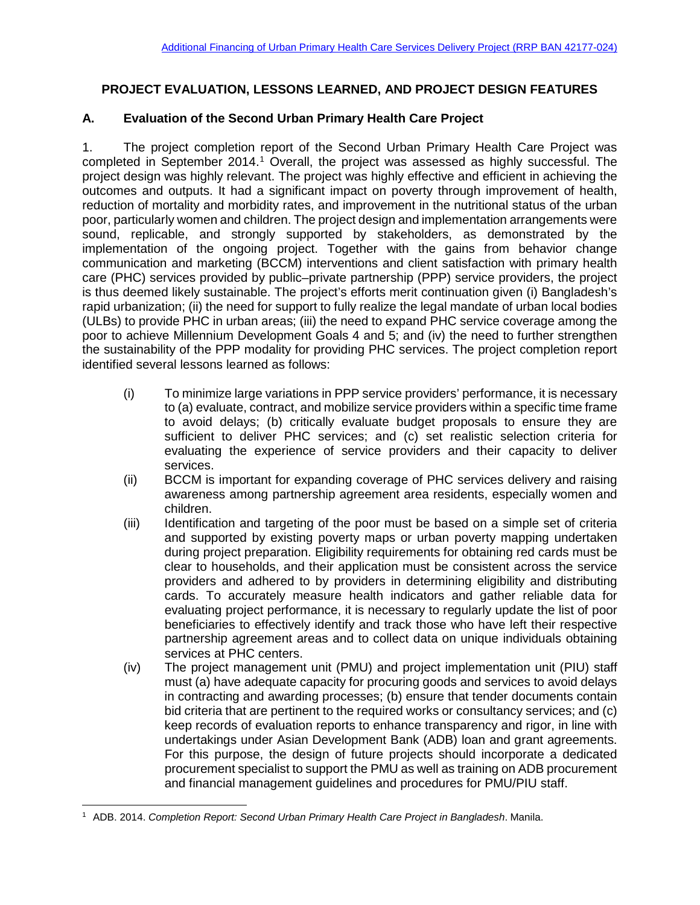## **PROJECT EVALUATION, LESSONS LEARNED, AND PROJECT DESIGN FEATURES**

#### **A. Evaluation of the Second Urban Primary Health Care Project**

1. The project completion report of the Second Urban Primary Health Care Project was completed in September 20[1](#page-0-0)4.<sup>1</sup> Overall, the project was assessed as highly successful. The project design was highly relevant. The project was highly effective and efficient in achieving the outcomes and outputs. It had a significant impact on poverty through improvement of health, reduction of mortality and morbidity rates, and improvement in the nutritional status of the urban poor, particularly women and children. The project design and implementation arrangements were sound, replicable, and strongly supported by stakeholders, as demonstrated by the implementation of the ongoing project. Together with the gains from behavior change communication and marketing (BCCM) interventions and client satisfaction with primary health care (PHC) services provided by public–private partnership (PPP) service providers, the project is thus deemed likely sustainable. The project's efforts merit continuation given (i) Bangladesh's rapid urbanization; (ii) the need for support to fully realize the legal mandate of urban local bodies (ULBs) to provide PHC in urban areas; (iii) the need to expand PHC service coverage among the poor to achieve Millennium Development Goals 4 and 5; and (iv) the need to further strengthen the sustainability of the PPP modality for providing PHC services. The project completion report identified several lessons learned as follows:

- (i) To minimize large variations in PPP service providers' performance, it is necessary to (a) evaluate, contract, and mobilize service providers within a specific time frame to avoid delays; (b) critically evaluate budget proposals to ensure they are sufficient to deliver PHC services; and (c) set realistic selection criteria for evaluating the experience of service providers and their capacity to deliver services.
- (ii) BCCM is important for expanding coverage of PHC services delivery and raising awareness among partnership agreement area residents, especially women and children.
- (iii) Identification and targeting of the poor must be based on a simple set of criteria and supported by existing poverty maps or urban poverty mapping undertaken during project preparation. Eligibility requirements for obtaining red cards must be clear to households, and their application must be consistent across the service providers and adhered to by providers in determining eligibility and distributing cards. To accurately measure health indicators and gather reliable data for evaluating project performance, it is necessary to regularly update the list of poor beneficiaries to effectively identify and track those who have left their respective partnership agreement areas and to collect data on unique individuals obtaining services at PHC centers.
- (iv) The project management unit (PMU) and project implementation unit (PIU) staff must (a) have adequate capacity for procuring goods and services to avoid delays in contracting and awarding processes; (b) ensure that tender documents contain bid criteria that are pertinent to the required works or consultancy services; and (c) keep records of evaluation reports to enhance transparency and rigor, in line with undertakings under Asian Development Bank (ADB) loan and grant agreements. For this purpose, the design of future projects should incorporate a dedicated procurement specialist to support the PMU as well as training on ADB procurement and financial management guidelines and procedures for PMU/PIU staff.

<span id="page-0-0"></span> <sup>1</sup> ADB. 2014. *Completion Report: Second Urban Primary Health Care Project in Bangladesh*. Manila.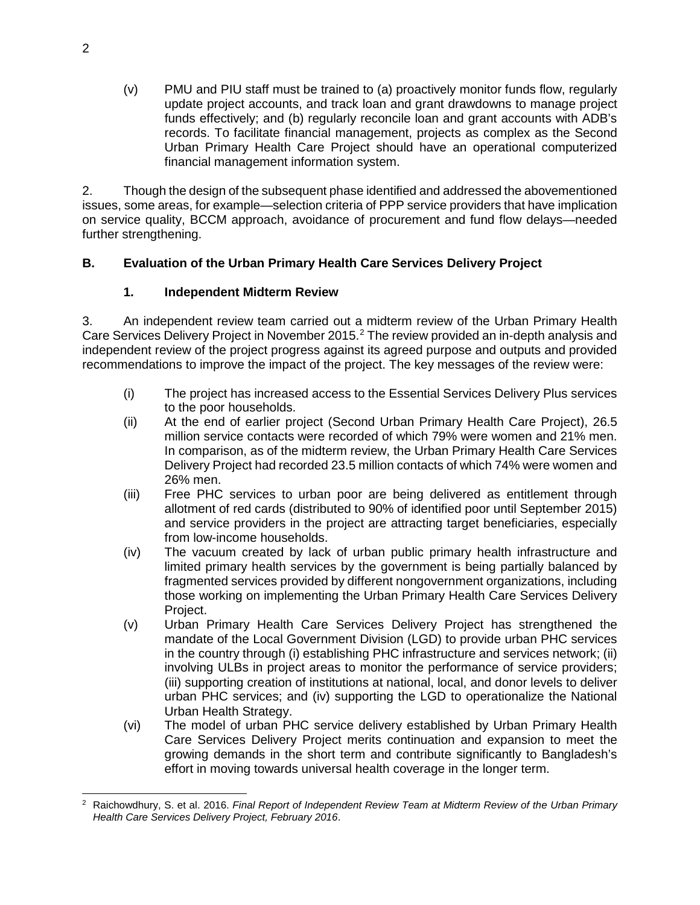(v) PMU and PIU staff must be trained to (a) proactively monitor funds flow, regularly update project accounts, and track loan and grant drawdowns to manage project funds effectively; and (b) regularly reconcile loan and grant accounts with ADB's records. To facilitate financial management, projects as complex as the Second Urban Primary Health Care Project should have an operational computerized financial management information system.

2. Though the design of the subsequent phase identified and addressed the abovementioned issues, some areas, for example—selection criteria of PPP service providers that have implication on service quality, BCCM approach, avoidance of procurement and fund flow delays—needed further strengthening.

# **B. Evaluation of the Urban Primary Health Care Services Delivery Project**

## **1. Independent Midterm Review**

3. An independent review team carried out a midterm review of the Urban Primary Health Care Services Delivery Project in November [2](#page-1-0)015.<sup>2</sup> The review provided an in-depth analysis and independent review of the project progress against its agreed purpose and outputs and provided recommendations to improve the impact of the project. The key messages of the review were:

- (i) The project has increased access to the Essential Services Delivery Plus services to the poor households.
- (ii) At the end of earlier project (Second Urban Primary Health Care Project), 26.5 million service contacts were recorded of which 79% were women and 21% men. In comparison, as of the midterm review, the Urban Primary Health Care Services Delivery Project had recorded 23.5 million contacts of which 74% were women and 26% men.
- (iii) Free PHC services to urban poor are being delivered as entitlement through allotment of red cards (distributed to 90% of identified poor until September 2015) and service providers in the project are attracting target beneficiaries, especially from low-income households.
- (iv) The vacuum created by lack of urban public primary health infrastructure and limited primary health services by the government is being partially balanced by fragmented services provided by different nongovernment organizations, including those working on implementing the Urban Primary Health Care Services Delivery Project.
- (v) Urban Primary Health Care Services Delivery Project has strengthened the mandate of the Local Government Division (LGD) to provide urban PHC services in the country through (i) establishing PHC infrastructure and services network; (ii) involving ULBs in project areas to monitor the performance of service providers; (iii) supporting creation of institutions at national, local, and donor levels to deliver urban PHC services; and (iv) supporting the LGD to operationalize the National Urban Health Strategy.
- (vi) The model of urban PHC service delivery established by Urban Primary Health Care Services Delivery Project merits continuation and expansion to meet the growing demands in the short term and contribute significantly to Bangladesh's effort in moving towards universal health coverage in the longer term.

<span id="page-1-0"></span> <sup>2</sup> Raichowdhury, S. et al. 2016. *Final Report of Independent Review Team at Midterm Review of the Urban Primary Health Care Services Delivery Project, February 2016*.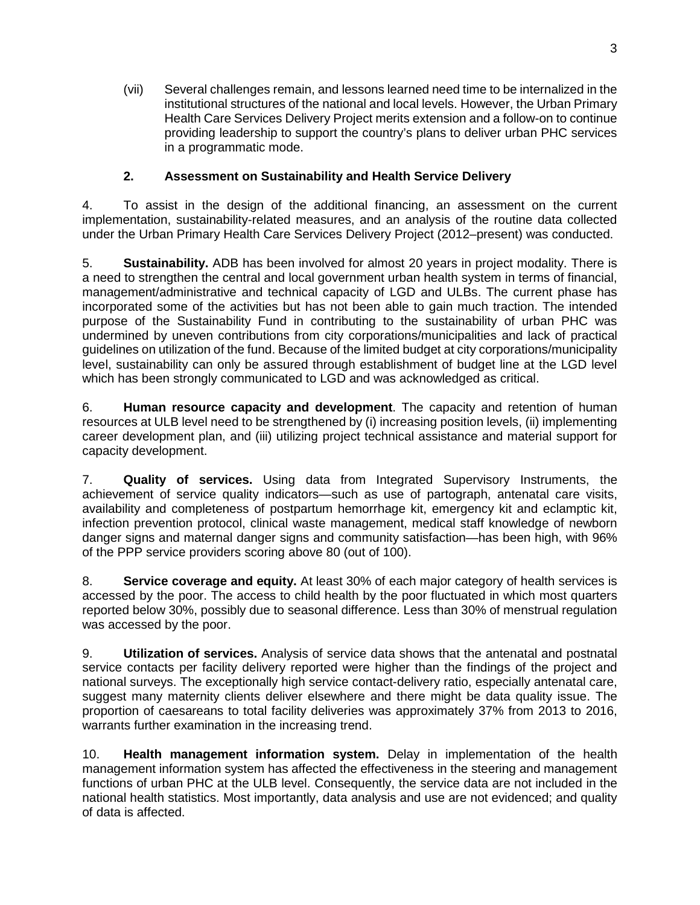(vii) Several challenges remain, and lessons learned need time to be internalized in the institutional structures of the national and local levels. However, the Urban Primary Health Care Services Delivery Project merits extension and a follow-on to continue providing leadership to support the country's plans to deliver urban PHC services in a programmatic mode.

#### **2. Assessment on Sustainability and Health Service Delivery**

4. To assist in the design of the additional financing, an assessment on the current implementation, sustainability-related measures, and an analysis of the routine data collected under the Urban Primary Health Care Services Delivery Project (2012–present) was conducted.

5. **Sustainability.** ADB has been involved for almost 20 years in project modality. There is a need to strengthen the central and local government urban health system in terms of financial, management/administrative and technical capacity of LGD and ULBs. The current phase has incorporated some of the activities but has not been able to gain much traction. The intended purpose of the Sustainability Fund in contributing to the sustainability of urban PHC was undermined by uneven contributions from city corporations/municipalities and lack of practical guidelines on utilization of the fund. Because of the limited budget at city corporations/municipality level, sustainability can only be assured through establishment of budget line at the LGD level which has been strongly communicated to LGD and was acknowledged as critical.

6. **Human resource capacity and development**. The capacity and retention of human resources at ULB level need to be strengthened by (i) increasing position levels, (ii) implementing career development plan, and (iii) utilizing project technical assistance and material support for capacity development.

7. **Quality of services.** Using data from Integrated Supervisory Instruments, the achievement of service quality indicators—such as use of partograph, antenatal care visits, availability and completeness of postpartum hemorrhage kit, emergency kit and eclamptic kit, infection prevention protocol, clinical waste management, medical staff knowledge of newborn danger signs and maternal danger signs and community satisfaction—has been high, with 96% of the PPP service providers scoring above 80 (out of 100).

8. **Service coverage and equity.** At least 30% of each major category of health services is accessed by the poor. The access to child health by the poor fluctuated in which most quarters reported below 30%, possibly due to seasonal difference. Less than 30% of menstrual regulation was accessed by the poor.

9. **Utilization of services.** Analysis of service data shows that the antenatal and postnatal service contacts per facility delivery reported were higher than the findings of the project and national surveys. The exceptionally high service contact-delivery ratio, especially antenatal care, suggest many maternity clients deliver elsewhere and there might be data quality issue. The proportion of caesareans to total facility deliveries was approximately 37% from 2013 to 2016, warrants further examination in the increasing trend.

10. **Health management information system.** Delay in implementation of the health management information system has affected the effectiveness in the steering and management functions of urban PHC at the ULB level. Consequently, the service data are not included in the national health statistics. Most importantly, data analysis and use are not evidenced; and quality of data is affected.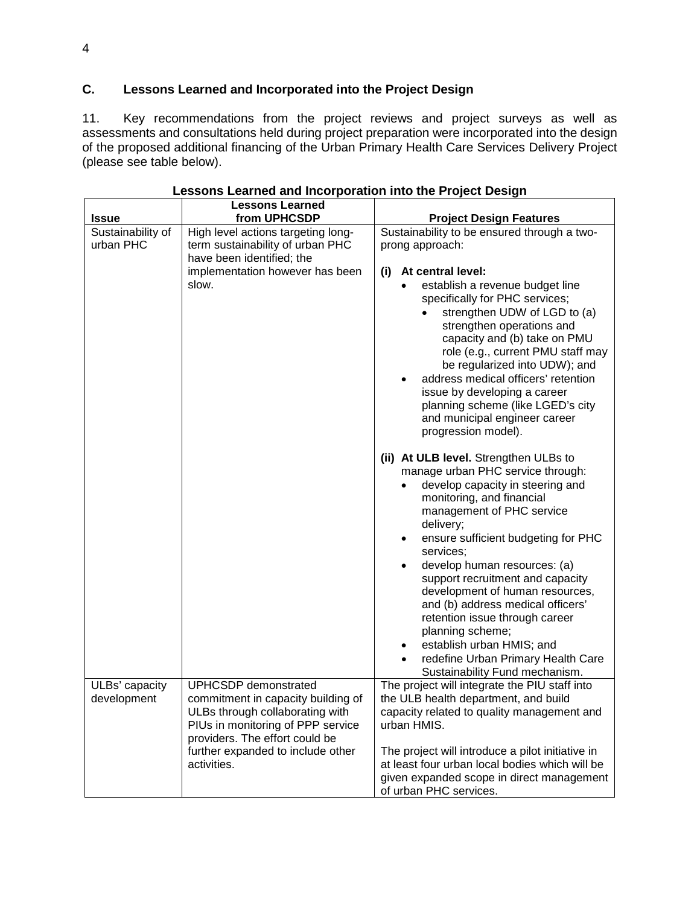## **C. Lessons Learned and Incorporated into the Project Design**

11. Key recommendations from the project reviews and project surveys as well as assessments and consultations held during project preparation were incorporated into the design of the proposed additional financing of the Urban Primary Health Care Services Delivery Project (please see table below).

|                                | <b>Lessons Learned</b>                                                                                                                                               |                                                                                                                                                                                                                                                                                                                                                                                                                                                                                                                                                                                                                                                                                                                                                                                                                                                                                                                                                                                                                                            |
|--------------------------------|----------------------------------------------------------------------------------------------------------------------------------------------------------------------|--------------------------------------------------------------------------------------------------------------------------------------------------------------------------------------------------------------------------------------------------------------------------------------------------------------------------------------------------------------------------------------------------------------------------------------------------------------------------------------------------------------------------------------------------------------------------------------------------------------------------------------------------------------------------------------------------------------------------------------------------------------------------------------------------------------------------------------------------------------------------------------------------------------------------------------------------------------------------------------------------------------------------------------------|
| <b>Issue</b>                   | from UPHCSDP                                                                                                                                                         | <b>Project Design Features</b>                                                                                                                                                                                                                                                                                                                                                                                                                                                                                                                                                                                                                                                                                                                                                                                                                                                                                                                                                                                                             |
| Sustainability of<br>urban PHC | High level actions targeting long-<br>term sustainability of urban PHC<br>have been identified; the<br>implementation however has been                               | Sustainability to be ensured through a two-<br>prong approach:<br>(i) At central level:                                                                                                                                                                                                                                                                                                                                                                                                                                                                                                                                                                                                                                                                                                                                                                                                                                                                                                                                                    |
|                                | slow.                                                                                                                                                                | establish a revenue budget line<br>specifically for PHC services;<br>strengthen UDW of LGD to (a)<br>strengthen operations and<br>capacity and (b) take on PMU<br>role (e.g., current PMU staff may<br>be regularized into UDW); and<br>address medical officers' retention<br>$\bullet$<br>issue by developing a career<br>planning scheme (like LGED's city<br>and municipal engineer career<br>progression model).<br>(ii) At ULB level. Strengthen ULBs to<br>manage urban PHC service through:<br>develop capacity in steering and<br>$\bullet$<br>monitoring, and financial<br>management of PHC service<br>delivery;<br>ensure sufficient budgeting for PHC<br>$\bullet$<br>services;<br>develop human resources: (a)<br>$\bullet$<br>support recruitment and capacity<br>development of human resources,<br>and (b) address medical officers'<br>retention issue through career<br>planning scheme;<br>establish urban HMIS; and<br>$\bullet$<br>redefine Urban Primary Health Care<br>$\bullet$<br>Sustainability Fund mechanism. |
| ULBs' capacity<br>development  | UPHCSDP demonstrated<br>commitment in capacity building of<br>ULBs through collaborating with<br>PIUs in monitoring of PPP service<br>providers. The effort could be | The project will integrate the PIU staff into<br>the ULB health department, and build<br>capacity related to quality management and<br>urban HMIS.                                                                                                                                                                                                                                                                                                                                                                                                                                                                                                                                                                                                                                                                                                                                                                                                                                                                                         |
|                                | further expanded to include other<br>activities.                                                                                                                     | The project will introduce a pilot initiative in<br>at least four urban local bodies which will be<br>given expanded scope in direct management<br>of urban PHC services.                                                                                                                                                                                                                                                                                                                                                                                                                                                                                                                                                                                                                                                                                                                                                                                                                                                                  |

**Lessons Learned and Incorporation into the Project Design**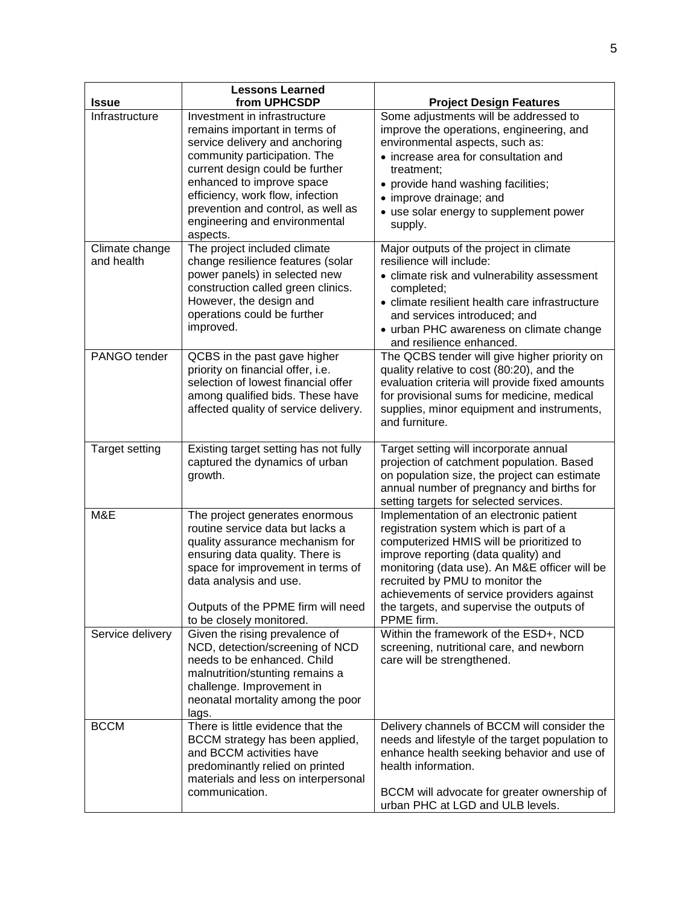|                                  | <b>Lessons Learned</b>                                                                                                                                                                                                                                                                                                                                 |                                                                                                                                                                                                                                                                                                                                                                   |
|----------------------------------|--------------------------------------------------------------------------------------------------------------------------------------------------------------------------------------------------------------------------------------------------------------------------------------------------------------------------------------------------------|-------------------------------------------------------------------------------------------------------------------------------------------------------------------------------------------------------------------------------------------------------------------------------------------------------------------------------------------------------------------|
| <b>Issue</b>                     | from UPHCSDP                                                                                                                                                                                                                                                                                                                                           | <b>Project Design Features</b>                                                                                                                                                                                                                                                                                                                                    |
| Infrastructure<br>Climate change | Investment in infrastructure<br>remains important in terms of<br>service delivery and anchoring<br>community participation. The<br>current design could be further<br>enhanced to improve space<br>efficiency, work flow, infection<br>prevention and control, as well as<br>engineering and environmental<br>aspects.<br>The project included climate | Some adjustments will be addressed to<br>improve the operations, engineering, and<br>environmental aspects, such as:<br>• increase area for consultation and<br>treatment:<br>• provide hand washing facilities;<br>• improve drainage; and<br>• use solar energy to supplement power<br>supply.<br>Major outputs of the project in climate                       |
| and health                       | change resilience features (solar<br>power panels) in selected new<br>construction called green clinics.<br>However, the design and<br>operations could be further<br>improved.                                                                                                                                                                        | resilience will include:<br>• climate risk and vulnerability assessment<br>completed;<br>• climate resilient health care infrastructure<br>and services introduced; and<br>• urban PHC awareness on climate change<br>and resilience enhanced.                                                                                                                    |
| PANGO tender                     | QCBS in the past gave higher<br>priority on financial offer, i.e.<br>selection of lowest financial offer<br>among qualified bids. These have<br>affected quality of service delivery.                                                                                                                                                                  | The QCBS tender will give higher priority on<br>quality relative to cost (80:20), and the<br>evaluation criteria will provide fixed amounts<br>for provisional sums for medicine, medical<br>supplies, minor equipment and instruments,<br>and furniture.                                                                                                         |
| <b>Target setting</b>            | Existing target setting has not fully<br>captured the dynamics of urban<br>growth.                                                                                                                                                                                                                                                                     | Target setting will incorporate annual<br>projection of catchment population. Based<br>on population size, the project can estimate<br>annual number of pregnancy and births for<br>setting targets for selected services.                                                                                                                                        |
| M&E                              | The project generates enormous<br>routine service data but lacks a<br>quality assurance mechanism for<br>ensuring data quality. There is<br>space for improvement in terms of<br>data analysis and use.<br>Outputs of the PPME firm will need<br>to be closely monitored.                                                                              | Implementation of an electronic patient<br>registration system which is part of a<br>computerized HMIS will be prioritized to<br>improve reporting (data quality) and<br>monitoring (data use). An M&E officer will be<br>recruited by PMU to monitor the<br>achievements of service providers against<br>the targets, and supervise the outputs of<br>PPME firm. |
| Service delivery                 | Given the rising prevalence of<br>NCD, detection/screening of NCD<br>needs to be enhanced. Child<br>malnutrition/stunting remains a<br>challenge. Improvement in<br>neonatal mortality among the poor<br>lags.                                                                                                                                         | Within the framework of the ESD+, NCD<br>screening, nutritional care, and newborn<br>care will be strengthened.                                                                                                                                                                                                                                                   |
| <b>BCCM</b>                      | There is little evidence that the<br>BCCM strategy has been applied,<br>and BCCM activities have<br>predominantly relied on printed<br>materials and less on interpersonal<br>communication.                                                                                                                                                           | Delivery channels of BCCM will consider the<br>needs and lifestyle of the target population to<br>enhance health seeking behavior and use of<br>health information.<br>BCCM will advocate for greater ownership of<br>urban PHC at LGD and ULB levels.                                                                                                            |